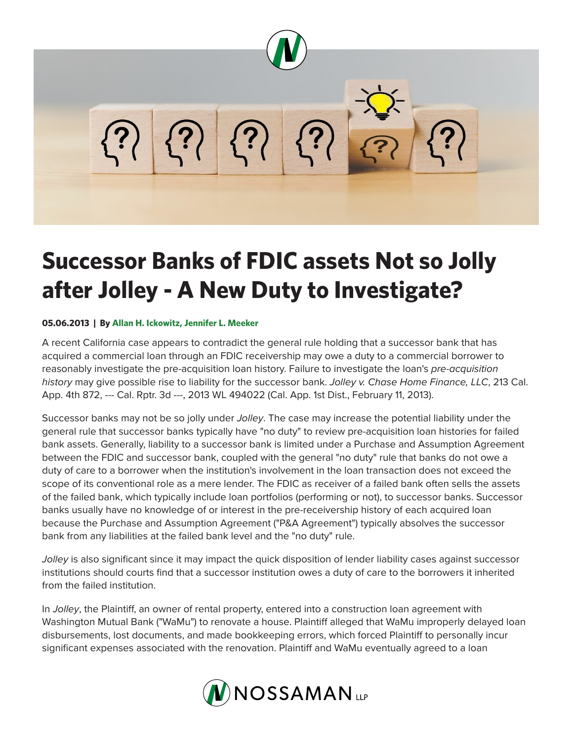

## **Successor Banks of FDIC assets Not so Jolly after Jolley - A New Duty to Investigate?**

## **05.06.2013 | By Allan H. Ickowitz, Jennifer L. Meeker**

A recent California case appears to contradict the general rule holding that a successor bank that has acquired a commercial loan through an FDIC receivership may owe a duty to a commercial borrower to reasonably investigate the pre-acquisition loan history. Failure to investigate the loan's *pre-acquisition history* may give possible rise to liability for the successor bank. *Jolley v. Chase Home Finance, LLC*, 213 Cal. App. 4th 872, --- Cal. Rptr. 3d ---, 2013 WL 494022 (Cal. App. 1st Dist., February 11, 2013).

Successor banks may not be so jolly under *Jolley*. The case may increase the potential liability under the general rule that successor banks typically have "no duty" to review pre-acquisition loan histories for failed bank assets. Generally, liability to a successor bank is limited under a Purchase and Assumption Agreement between the FDIC and successor bank, coupled with the general "no duty" rule that banks do not owe a duty of care to a borrower when the institution's involvement in the loan transaction does not exceed the scope of its conventional role as a mere lender. The FDIC as receiver of a failed bank often sells the assets of the failed bank, which typically include loan portfolios (performing or not), to successor banks. Successor banks usually have no knowledge of or interest in the pre-receivership history of each acquired loan because the Purchase and Assumption Agreement ("P&A Agreement") typically absolves the successor bank from any liabilities at the failed bank level and the "no duty" rule.

*Jolley* is also significant since it may impact the quick disposition of lender liability cases against successor institutions should courts find that a successor institution owes a duty of care to the borrowers it inherited from the failed institution.

In *Jolley*, the Plaintiff, an owner of rental property, entered into a construction loan agreement with Washington Mutual Bank ("WaMu") to renovate a house. Plaintiff alleged that WaMu improperly delayed loan disbursements, lost documents, and made bookkeeping errors, which forced Plaintiff to personally incur significant expenses associated with the renovation. Plaintiff and WaMu eventually agreed to a loan

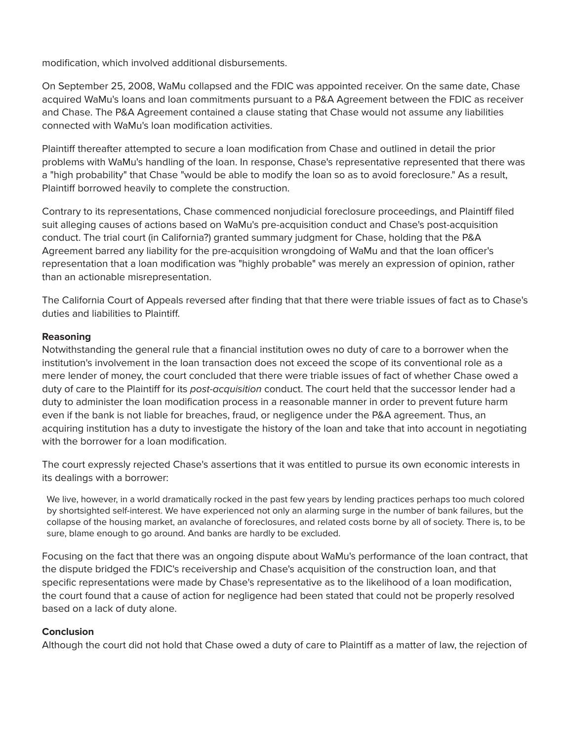modification, which involved additional disbursements.

On September 25, 2008, WaMu collapsed and the FDIC was appointed receiver. On the same date, Chase acquired WaMu's loans and loan commitments pursuant to a P&A Agreement between the FDIC as receiver and Chase. The P&A Agreement contained a clause stating that Chase would not assume any liabilities connected with WaMu's loan modification activities.

Plaintiff thereafter attempted to secure a loan modification from Chase and outlined in detail the prior problems with WaMu's handling of the loan. In response, Chase's representative represented that there was a "high probability" that Chase "would be able to modify the loan so as to avoid foreclosure." As a result, Plaintiff borrowed heavily to complete the construction.

Contrary to its representations, Chase commenced nonjudicial foreclosure proceedings, and Plaintiff filed suit alleging causes of actions based on WaMu's pre-acquisition conduct and Chase's post-acquisition conduct. The trial court (in California?) granted summary judgment for Chase, holding that the P&A Agreement barred any liability for the pre-acquisition wrongdoing of WaMu and that the loan officer's representation that a loan modification was "highly probable" was merely an expression of opinion, rather than an actionable misrepresentation.

The California Court of Appeals reversed after finding that that there were triable issues of fact as to Chase's duties and liabilities to Plaintiff.

## **Reasoning**

Notwithstanding the general rule that a financial institution owes no duty of care to a borrower when the institution's involvement in the loan transaction does not exceed the scope of its conventional role as a mere lender of money, the court concluded that there were triable issues of fact of whether Chase owed a duty of care to the Plaintiff for its *post-acquisition* conduct. The court held that the successor lender had a duty to administer the loan modification process in a reasonable manner in order to prevent future harm even if the bank is not liable for breaches, fraud, or negligence under the P&A agreement. Thus, an acquiring institution has a duty to investigate the history of the loan and take that into account in negotiating with the borrower for a loan modification.

The court expressly rejected Chase's assertions that it was entitled to pursue its own economic interests in its dealings with a borrower:

We live, however, in a world dramatically rocked in the past few years by lending practices perhaps too much colored by shortsighted self-interest. We have experienced not only an alarming surge in the number of bank failures, but the collapse of the housing market, an avalanche of foreclosures, and related costs borne by all of society. There is, to be sure, blame enough to go around. And banks are hardly to be excluded.

Focusing on the fact that there was an ongoing dispute about WaMu's performance of the loan contract, that the dispute bridged the FDIC's receivership and Chase's acquisition of the construction loan, and that specific representations were made by Chase's representative as to the likelihood of a loan modification, the court found that a cause of action for negligence had been stated that could not be properly resolved based on a lack of duty alone.

## **Conclusion**

Although the court did not hold that Chase owed a duty of care to Plaintiff as a matter of law, the rejection of